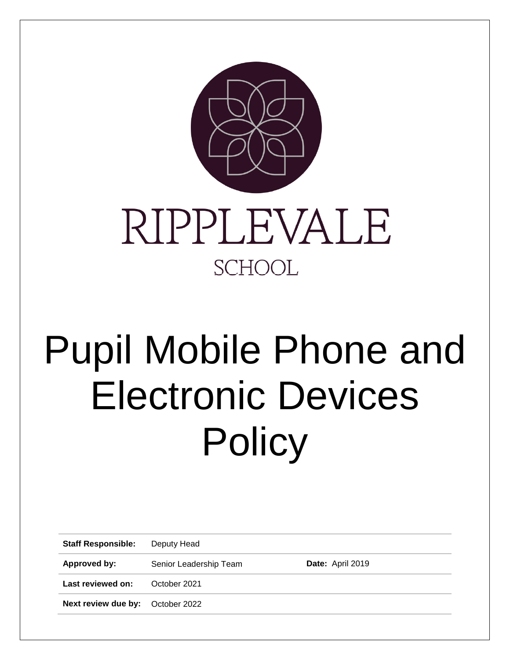



# Pupil Mobile Phone and Electronic Devices **Policy**

| <b>Staff Responsible:</b>               | Deputy Head            |                  |  |
|-----------------------------------------|------------------------|------------------|--|
| Approved by:                            | Senior Leadership Team | Date: April 2019 |  |
| Last reviewed on:                       | October 2021           |                  |  |
| <b>Next review due by:</b> October 2022 |                        |                  |  |
|                                         |                        |                  |  |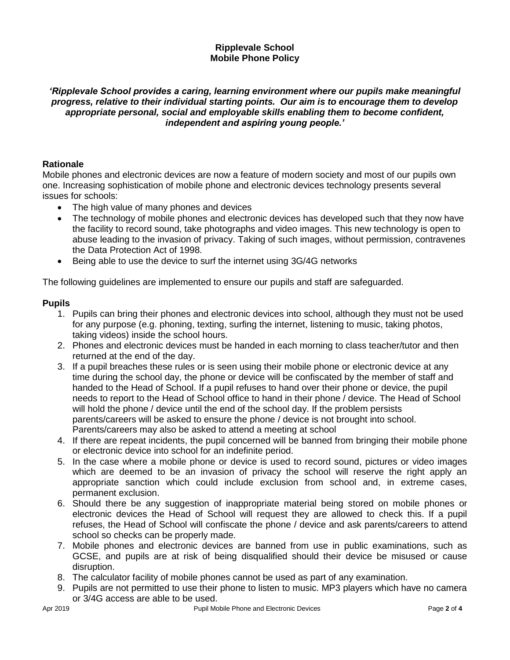#### **Ripplevale School Mobile Phone Policy**

# *'Ripplevale School provides a caring, learning environment where our pupils make meaningful progress, relative to their individual starting points. Our aim is to encourage them to develop appropriate personal, social and employable skills enabling them to become confident, independent and aspiring young people.'*

## **Rationale**

Mobile phones and electronic devices are now a feature of modern society and most of our pupils own one. Increasing sophistication of mobile phone and electronic devices technology presents several issues for schools:

- The high value of many phones and devices
- The technology of mobile phones and electronic devices has developed such that they now have the facility to record sound, take photographs and video images. This new technology is open to abuse leading to the invasion of privacy. Taking of such images, without permission, contravenes the Data Protection Act of 1998.
- Being able to use the device to surf the internet using 3G/4G networks

The following guidelines are implemented to ensure our pupils and staff are safeguarded.

#### **Pupils**

- 1. Pupils can bring their phones and electronic devices into school, although they must not be used for any purpose (e.g. phoning, texting, surfing the internet, listening to music, taking photos, taking videos) inside the school hours.
- 2. Phones and electronic devices must be handed in each morning to class teacher/tutor and then returned at the end of the day.
- 3. If a pupil breaches these rules or is seen using their mobile phone or electronic device at any time during the school day, the phone or device will be confiscated by the member of staff and handed to the Head of School. If a pupil refuses to hand over their phone or device, the pupil needs to report to the Head of School office to hand in their phone / device. The Head of School will hold the phone / device until the end of the school day. If the problem persists parents/careers will be asked to ensure the phone / device is not brought into school. Parents/careers may also be asked to attend a meeting at school
- 4. If there are repeat incidents, the pupil concerned will be banned from bringing their mobile phone or electronic device into school for an indefinite period.
- 5. In the case where a mobile phone or device is used to record sound, pictures or video images which are deemed to be an invasion of privacy the school will reserve the right apply an appropriate sanction which could include exclusion from school and, in extreme cases, permanent exclusion.
- 6. Should there be any suggestion of inappropriate material being stored on mobile phones or electronic devices the Head of School will request they are allowed to check this. If a pupil refuses, the Head of School will confiscate the phone / device and ask parents/careers to attend school so checks can be properly made.
- 7. Mobile phones and electronic devices are banned from use in public examinations, such as GCSE, and pupils are at risk of being disqualified should their device be misused or cause disruption.
- 8. The calculator facility of mobile phones cannot be used as part of any examination.
- 9. Pupils are not permitted to use their phone to listen to music. MP3 players which have no camera or 3/4G access are able to be used.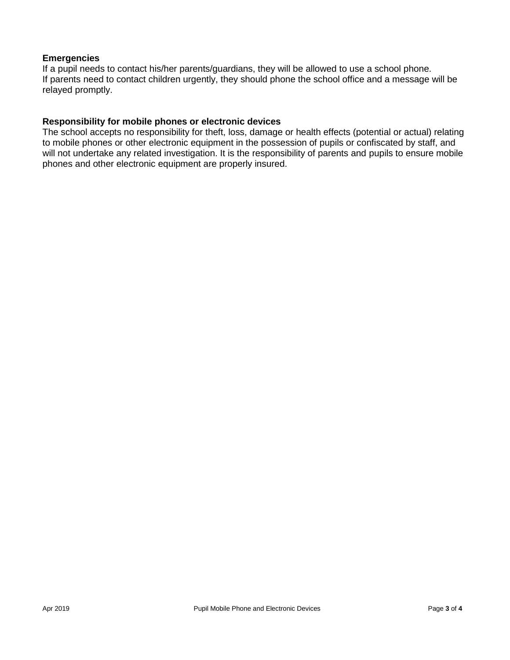#### **Emergencies**

If a pupil needs to contact his/her parents/guardians, they will be allowed to use a school phone. If parents need to contact children urgently, they should phone the school office and a message will be relayed promptly.

### **Responsibility for mobile phones or electronic devices**

The school accepts no responsibility for theft, loss, damage or health effects (potential or actual) relating to mobile phones or other electronic equipment in the possession of pupils or confiscated by staff, and will not undertake any related investigation. It is the responsibility of parents and pupils to ensure mobile phones and other electronic equipment are properly insured.